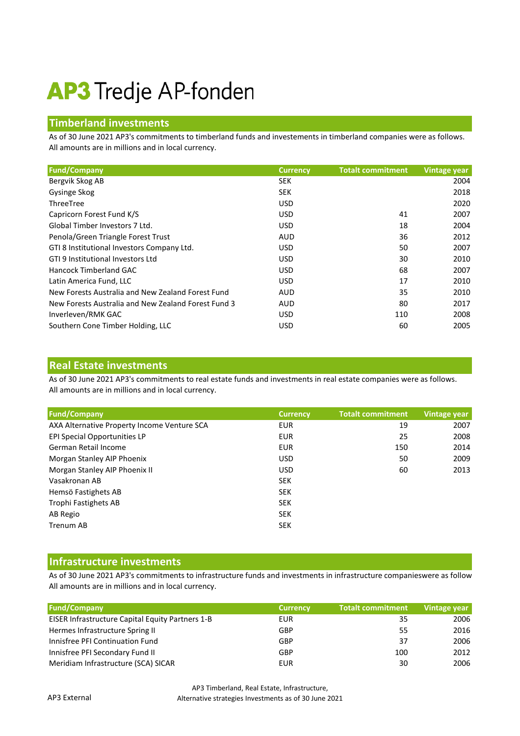# **AP3** Tredje AP-fonden

## **Timberland investments**

As of 30 June 2021 AP3's commitments to timberland funds and investements in timberland companies were as follows. All amounts are in millions and in local currency.

| <b>Fund/Company</b>                                 | <b>Currency</b> | <b>Totalt commitment</b> | <b>Vintage year</b> |
|-----------------------------------------------------|-----------------|--------------------------|---------------------|
| Bergvik Skog AB                                     | <b>SEK</b>      |                          | 2004                |
| Gysinge Skog                                        | <b>SEK</b>      |                          | 2018                |
| ThreeTree                                           | <b>USD</b>      |                          | 2020                |
| Capricorn Forest Fund K/S                           | <b>USD</b>      | 41                       | 2007                |
| Global Timber Investors 7 Ltd.                      | <b>USD</b>      | 18                       | 2004                |
| Penola/Green Triangle Forest Trust                  | <b>AUD</b>      | 36                       | 2012                |
| GTI 8 Institutional Investors Company Ltd.          | <b>USD</b>      | 50                       | 2007                |
| GTI 9 Institutional Investors Ltd                   | <b>USD</b>      | 30                       | 2010                |
| Hancock Timberland GAC                              | <b>USD</b>      | 68                       | 2007                |
| Latin America Fund, LLC                             | <b>USD</b>      | 17                       | 2010                |
| New Forests Australia and New Zealand Forest Fund   | <b>AUD</b>      | 35                       | 2010                |
| New Forests Australia and New Zealand Forest Fund 3 | <b>AUD</b>      | 80                       | 2017                |
| Inverleven/RMK GAC                                  | <b>USD</b>      | 110                      | 2008                |
| Southern Cone Timber Holding, LLC                   | USD             | 60                       | 2005                |

#### **Real Estate investments**

As of 30 June 2021 AP3's commitments to real estate funds and investments in real estate companies were as follows. All amounts are in millions and in local currency.

| <b>Fund/Company</b>                         | <b>Currency</b> | <b>Totalt commitment</b> | Vintage year |
|---------------------------------------------|-----------------|--------------------------|--------------|
| AXA Alternative Property Income Venture SCA | EUR             | 19                       | 2007         |
| EPI Special Opportunities LP                | EUR             | 25                       | 2008         |
| German Retail Income                        | EUR             | 150                      | 2014         |
| Morgan Stanley AIP Phoenix                  | <b>USD</b>      | 50                       | 2009         |
| Morgan Stanley AIP Phoenix II               | USD.            | 60                       | 2013         |
| Vasakronan AB                               | <b>SEK</b>      |                          |              |
| Hemsö Fastighets AB                         | <b>SEK</b>      |                          |              |
| Trophi Fastighets AB                        | <b>SEK</b>      |                          |              |
| AB Regio                                    | <b>SEK</b>      |                          |              |
| Trenum AB                                   | <b>SEK</b>      |                          |              |

### **Infrastructure investments**

As of 30 June 2021 AP3's commitments to infrastructure funds and investments in infrastructure companieswere as follow All amounts are in millions and in local currency.

| <b>Fund/Company</b>                              | <b>Currency</b> | <b>Totalt commitment</b> | Vintage year |
|--------------------------------------------------|-----------------|--------------------------|--------------|
| EISER Infrastructure Capital Equity Partners 1-B | EUR             | 35                       | 2006         |
| Hermes Infrastructure Spring II                  | GBP             | 55                       | 2016         |
| Innisfree PFI Continuation Fund                  | GBP             | 37                       | 2006         |
| Innisfree PFI Secondary Fund II                  | GBP             | 100                      | 2012         |
| Meridiam Infrastructure (SCA) SICAR              | EUR             | 30                       | 2006         |

AP3 Timberland, Real Estate, Infrastructure, Alternative strategies Investments as of 30 June 2021